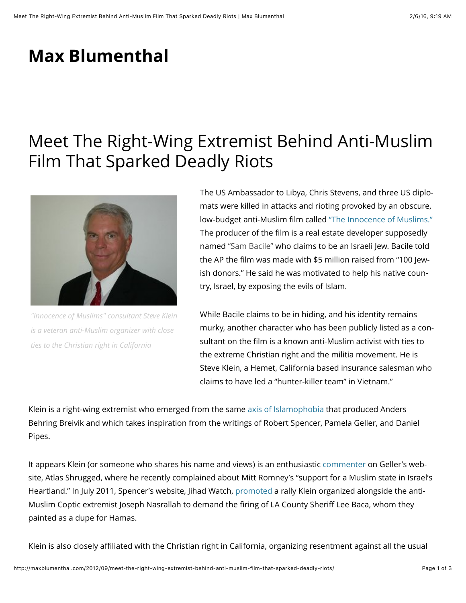## **Max Blumenthal**

## Meet The Right-Wing Extremist Behind Anti-Muslim Film That Sparked Deadly Riots



*"Innocence of Muslims" consultant Steve Klein is a veteran anti-Muslim organizer with close ties to the Christian right in California*

The US Ambassador to Libya, Chris Stevens, and three US diplomats were killed in attacks and rioting provoked by an obscure, low-budget anti-Muslim film called "The Innocence of Muslims." The producer of the film is a real estate developer supposedly named "Sam Bacile" who claims to be an Israeli Jew. Bacile told the AP the film was made with \$5 million raised from "100 Jewish donors." He said he was motivated to help his native country, Israel, by exposing the evils of Islam.

While Bacile claims to be in hiding, and his identity remains murky, another character who has been publicly listed as a consultant on the film is a known anti-Muslim activist with ties to the extreme Christian right and the militia movement. He is Steve Klein, a Hemet, California based insurance salesman who claims to have led a "hunter-killer team" in Vietnam."

Klein is a right-wing extremist who emerged from the same axis of Islamophobia that produced Anders Behring Breivik and which takes inspiration from the writings of Robert Spencer, Pamela Geller, and Daniel Pipes.

It appears Klein (or someone who shares his name and views) is an enthusiastic commenter on Geller's website, Atlas Shrugged, where he recently complained about Mitt Romney's "support for a Muslim state in Israel's Heartland." In July 2011, Spencer's website, Jihad Watch, promoted a rally Klein organized alongside the anti-Muslim Coptic extremist Joseph Nasrallah to demand the firing of LA County Sheriff Lee Baca, whom they painted as a dupe for Hamas.

Klein is also closely affiliated with the Christian right in California, organizing resentment against all the usual